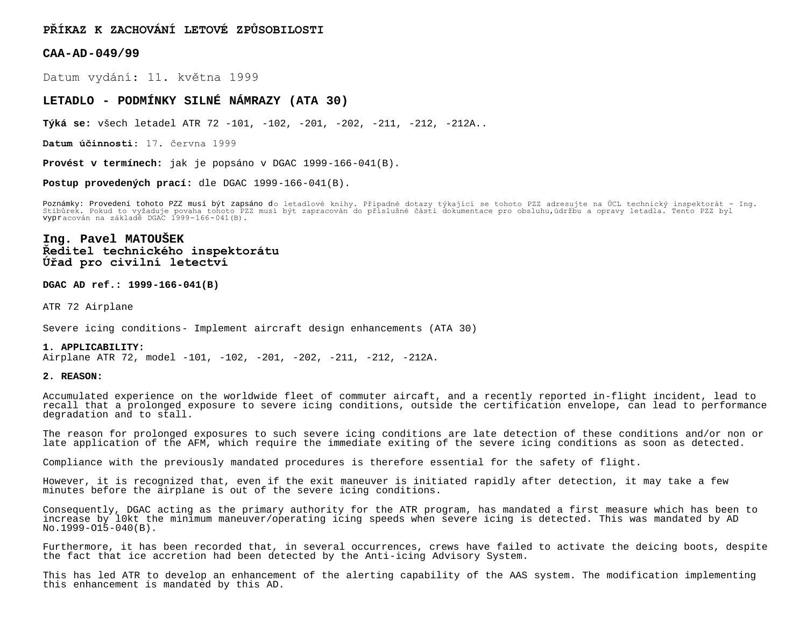**PŘÍKAZ K ZACHOVÁNÍ LETOVÉ ZPŮSOBILOSTI**

**CAA-AD-049/99**

Datum vydání: 11. května 1999

## **LETADLO - PODMÍNKY SILNÉ NÁMRAZY (ATA 30)**

**Týká se:** všech letadel ATR 72 -101, -102, -201, -202, -211, -212, -212A..

**Datum účinnosti:** 17. června 1999

**Provést v termínech:** jak je popsáno v DGAC 1999-166-041(B).

**Postup provedených prací:** dle DGAC 1999-166-041(B).

Poznámky: Provedení tohoto PZZ musí být zapsáno do letadlové knihy. Případné dotazy týkající se tohoto PZZ adresujte na UCL technický inspektorát – Ing.<br>Stibůrek. Pokud to vyžaduje povaha tohoto PZZ musí být zapracován do

# **Ing. Pavel MATOUŠEK Ředitel technického inspektorátu Úřad pro civilní letectví**

**DGAC AD ref.: 1999-166-041(B)**

ATR 72 Airplane

Severe icing conditions- Implement aircraft design enhancements (ATA 30)

**1. APPLICABILITY:** Airplane ATR 72, model -101, -102, -201, -202, -211, -212, -212A.

### **2. REASON:**

Accumulated experience on the worldwide fleet of commuter aircaft, and a recently reported in-flight incident, lead to recall that a prolonged exposure to severe icing conditions, outside the certification envelope, can lead to performance degradation and to stall.

The reason for prolonged exposures to such severe icing conditions are late detection of these conditions and/or non or late application of the AFM, which require the immediate exiting of the severe icing conditions as soon as detected.

Compliance with the previously mandated procedures is therefore essential for the safety of flight.

However, it is recognized that, even if the exit maneuver is initiated rapidly after detection, it may take a few minutes before the airplane is out of the severe icing conditions.

Consequently, DGAC acting as the primary authority for the ATR program, has mandated a first measure which has been to increase by l0kt the minimum maneuver/operating icing speeds when severe icing is detected. This was mandated by AD  $No.1999 - O15 - O40(B)$ .

Furthermore, it has been recorded that, in several occurrences, crews have failed to activate the deicing boots, despite the fact that ice accretion had been detected by the Anti-icing Advisory System.

This has led ATR to develop an enhancement of the alerting capability of the AAS system. The modification implementing this enhancement is mandated by this AD.